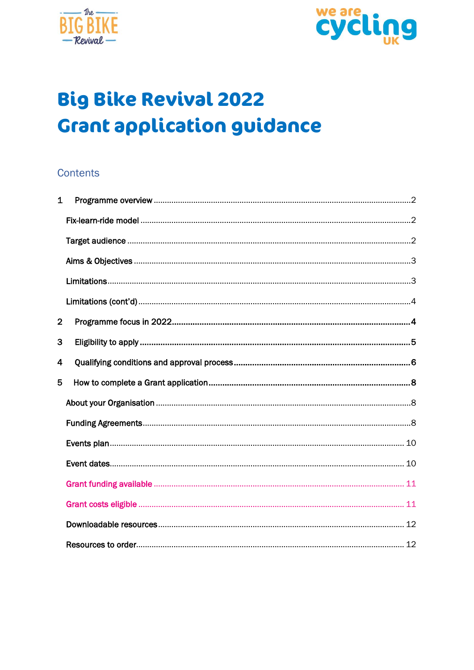



# **Big Bike Revival 2022 Grant application guidance**

#### **Contents**

| $\mathbf{1}$   |  |
|----------------|--|
|                |  |
|                |  |
|                |  |
|                |  |
|                |  |
| $\overline{2}$ |  |
| 3              |  |
| 4              |  |
|                |  |
| 5              |  |
|                |  |
|                |  |
|                |  |
|                |  |
|                |  |
|                |  |
|                |  |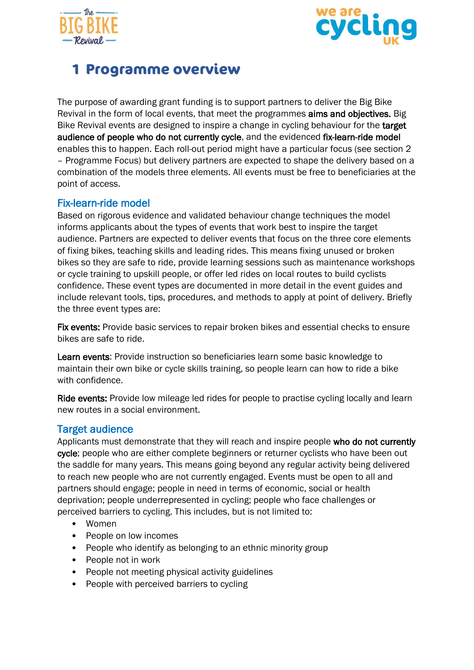



# <span id="page-1-0"></span>**1 Programme overview**

The purpose of awarding grant funding is to support partners to deliver the Big Bike Revival in the form of local events, that meet the programmes aims and objectives. Big Bike Revival events are designed to inspire a change in cycling behaviour for the target audience of people who do not currently cycle, and the evidenced fix-learn-ride model enables this to happen. Each roll-out period might have a particular focus (see section 2 – Programme Focus) but delivery partners are expected to shape the delivery based on a combination of the models three elements. All events must be free to beneficiaries at the point of access.

#### <span id="page-1-1"></span>Fix-learn-ride model

Based on rigorous evidence and validated behaviour change techniques the model informs applicants about the types of events that work best to inspire the target audience. Partners are expected to deliver events that focus on the three core elements of fixing bikes, teaching skills and leading rides. This means fixing unused or broken bikes so they are safe to ride, provide learning sessions such as maintenance workshops or cycle training to upskill people, or offer led rides on local routes to build cyclists confidence. These event types are documented in more detail in the event guides and include relevant tools, tips, procedures, and methods to apply at point of delivery. Briefly the three event types are:

Fix events: Provide basic services to repair broken bikes and essential checks to ensure bikes are safe to ride.

Learn events: Provide instruction so beneficiaries learn some basic knowledge to maintain their own bike or cycle skills training, so people learn can how to ride a bike with confidence.

Ride events: Provide low mileage led rides for people to practise cycling locally and learn new routes in a social environment.

#### <span id="page-1-2"></span>Target audience

Applicants must demonstrate that they will reach and inspire people who do not currently cycle; people who are either complete beginners or returner cyclists who have been out the saddle for many years. This means going beyond any regular activity being delivered to reach new people who are not currently engaged. Events must be open to all and partners should engage; people in need in terms of economic, social or health deprivation; people underrepresented in cycling; people who face challenges or perceived barriers to cycling. This includes, but is not limited to:

- Women
- People on low incomes
- People who identify as belonging to an ethnic minority group
- People not in work
- People not meeting physical activity guidelines
- People with perceived barriers to cycling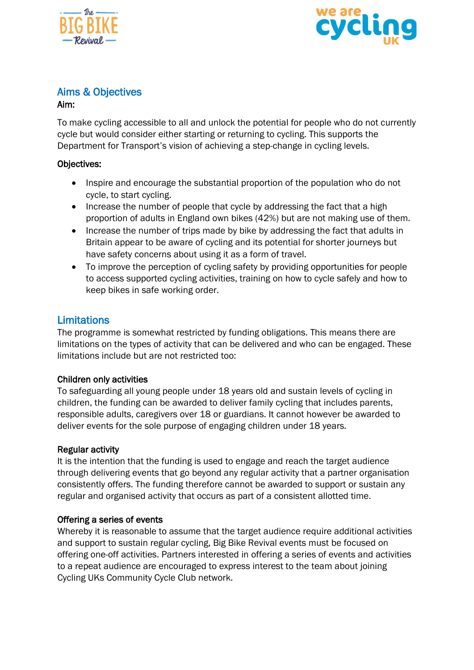



#### <span id="page-2-0"></span>Aims & Objectives

#### Aim:

To make cycling accessible to all and unlock the potential for people who do not currently cycle but would consider either starting or returning to cycling. This supports the Department for Transport's vision of achieving a step-change in cycling levels.

#### Objectives:

- Inspire and encourage the substantial proportion of the population who do not cycle, to start cycling.
- Increase the number of people that cycle by addressing the fact that a high proportion of adults in England own bikes (42%) but are not making use of them.
- Increase the number of trips made by bike by addressing the fact that adults in Britain appear to be aware of cycling and its potential for shorter journeys but have safety concerns about using it as a form of travel.
- To improve the perception of cycling safety by providing opportunities for people to access supported cycling activities, training on how to cycle safely and how to keep bikes in safe working order.

#### <span id="page-2-1"></span>**Limitations**

The programme is somewhat restricted by funding obligations. This means there are limitations on the types of activity that can be delivered and who can be engaged. These limitations include but are not restricted too:

#### Children only activities

To safeguarding all young people under 18 years old and sustain levels of cycling in children, the funding can be awarded to deliver family cycling that includes parents, responsible adults, caregivers over 18 or guardians. It cannot however be awarded to deliver events for the sole purpose of engaging children under 18 years.

#### Regular activity

It is the intention that the funding is used to engage and reach the target audience through delivering events that go beyond any regular activity that a partner organisation consistently offers. The funding therefore cannot be awarded to support or sustain any regular and organised activity that occurs as part of a consistent allotted time.

#### Offering a series of events

Whereby it is reasonable to assume that the target audience require additional activities and support to sustain regular cycling, Big Bike Revival events must be focused on offering one-off activities. Partners interested in offering a series of events and activities to a repeat audience are encouraged to express interest to the team about joining Cycling UKs Community Cycle Club network.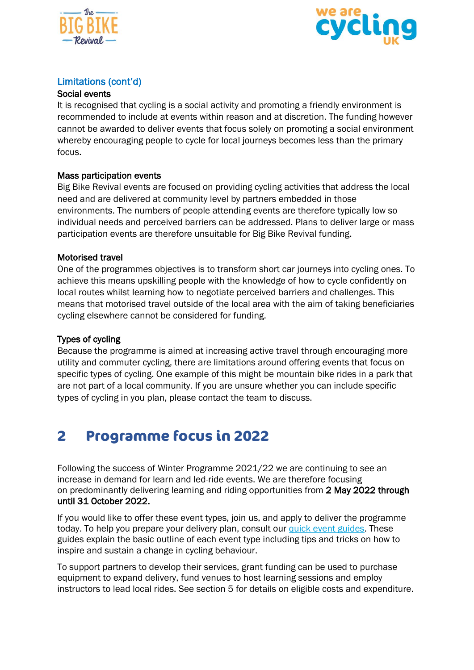



#### <span id="page-3-0"></span>Limitations (cont'd)

#### Social events

It is recognised that cycling is a social activity and promoting a friendly environment is recommended to include at events within reason and at discretion. The funding however cannot be awarded to deliver events that focus solely on promoting a social environment whereby encouraging people to cycle for local journeys becomes less than the primary focus.

#### Mass participation events

Big Bike Revival events are focused on providing cycling activities that address the local need and are delivered at community level by partners embedded in those environments. The numbers of people attending events are therefore typically low so individual needs and perceived barriers can be addressed. Plans to deliver large or mass participation events are therefore unsuitable for Big Bike Revival funding.

#### Motorised travel

One of the programmes objectives is to transform short car journeys into cycling ones. To achieve this means upskilling people with the knowledge of how to cycle confidently on local routes whilst learning how to negotiate perceived barriers and challenges. This means that motorised travel outside of the local area with the aim of taking beneficiaries cycling elsewhere cannot be considered for funding.

#### Types of cycling

Because the programme is aimed at increasing active travel through encouraging more utility and commuter cycling, there are limitations around offering events that focus on specific types of cycling. One example of this might be mountain bike rides in a park that are not part of a local community. If you are unsure whether you can include specific types of cycling in you plan, please contact the team to discuss.

# <span id="page-3-1"></span>**2 Programme focus in 2022**

Following the success of Winter Programme 2021/22 we are continuing to see an increase in demand for learn and led-ride events. We are therefore focusing on predominantly delivering learning and riding opportunities from 2 May 2022 through until 31 October 2022.

If you would like to offer these event types, join us, and apply to deliver the programme today. To help you prepare your delivery plan, consult our quick event [guides.](https://www.cyclinguk.org/sites/default/files/file_downloads_widget/quick_guides.zip) These guides explain the basic outline of each event type including tips and tricks on how to inspire and sustain a change in cycling behaviour.

To support partners to develop their services, grant funding can be used to purchase equipment to expand delivery, fund venues to host learning sessions and employ instructors to lead local rides. See section 5 for details on eligible costs and expenditure.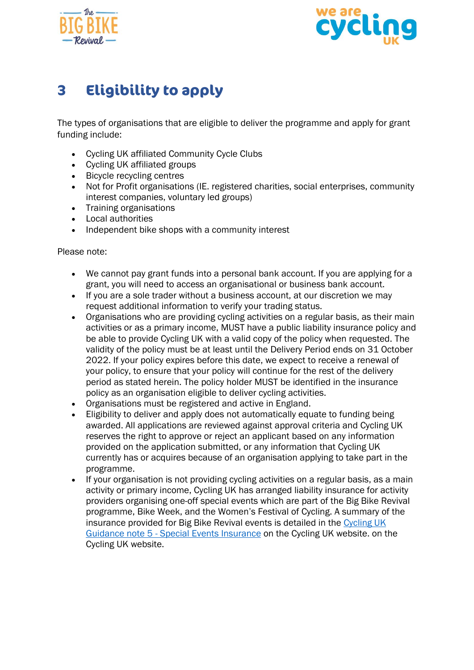



# <span id="page-4-0"></span>**3 Eligibility to apply**

The types of organisations that are eligible to deliver the programme and apply for grant funding include:

- Cycling UK affiliated Community Cycle Clubs
- Cycling UK affiliated groups
- Bicycle recycling centres
- Not for Profit organisations (IE. registered charities, social enterprises, community interest companies, voluntary led groups)
- Training organisations
- Local authorities
- Independent bike shops with a community interest

Please note:

- We cannot pay grant funds into a personal bank account. If you are applying for a grant, you will need to access an organisational or business bank account.
- If you are a sole trader without a business account, at our discretion we may request additional information to verify your trading status.
- Organisations who are providing cycling activities on a regular basis, as their main activities or as a primary income, MUST have a public liability insurance policy and be able to provide Cycling UK with a valid copy of the policy when requested. The validity of the policy must be at least until the Delivery Period ends on 31 October 2022. If your policy expires before this date, we expect to receive a renewal of your policy, to ensure that your policy will continue for the rest of the delivery period as stated herein. The policy holder MUST be identified in the insurance policy as an organisation eligible to deliver cycling activities.
- Organisations must be registered and active in England.
- Eligibility to deliver and apply does not automatically equate to funding being awarded. All applications are reviewed against approval criteria and Cycling UK reserves the right to approve or reject an applicant based on any information provided on the application submitted, or any information that Cycling UK currently has or acquires because of an organisation applying to take part in the programme.
- If your organisation is not providing cycling activities on a regular basis, as a main activity or primary income, Cycling UK has arranged liability insurance for activity providers organising one-off special events which are part of the Big Bike Revival programme, Bike Week, and the Women's Festival of Cycling. A summary of the insurance provided for Big Bike Revival events is detailed in the [Cycling UK](https://www.cyclinguk.org/insurance/event-organiser)  [Guidance note 5 -](https://www.cyclinguk.org/insurance/event-organiser) Special Events Insurance on the Cycling UK website. on the Cycling UK website.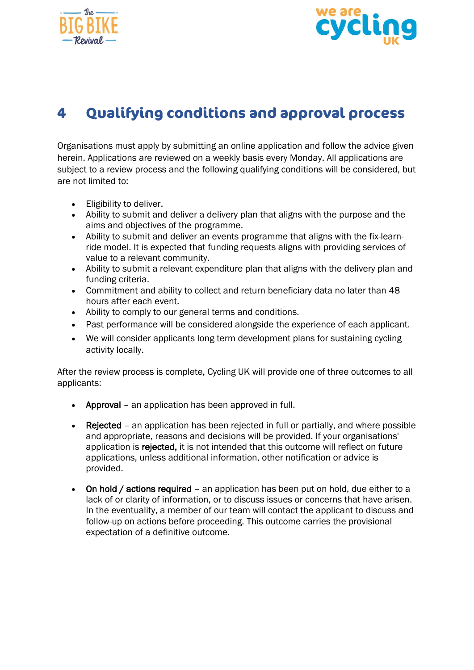



# <span id="page-5-0"></span>**4 Qualifying conditions and approval process**

Organisations must apply by submitting an online application and follow the advice given herein. Applications are reviewed on a weekly basis every Monday. All applications are subject to a review process and the following qualifying conditions will be considered, but are not limited to:

- Eligibility to deliver.
- Ability to submit and deliver a delivery plan that aligns with the purpose and the aims and objectives of the programme.
- Ability to submit and deliver an events programme that aligns with the fix-learnride model. It is expected that funding requests aligns with providing services of value to a relevant community.
- Ability to submit a relevant expenditure plan that aligns with the delivery plan and funding criteria.
- Commitment and ability to collect and return beneficiary data no later than 48 hours after each event.
- Ability to comply to our general terms and conditions.
- Past performance will be considered alongside the experience of each applicant.
- We will consider applicants long term development plans for sustaining cycling activity locally.

After the review process is complete, Cycling UK will provide one of three outcomes to all applicants:

- Approval an application has been approved in full.
- Rejected an application has been rejected in full or partially, and where possible and appropriate, reasons and decisions will be provided. If your organisations' application is rejected, it is not intended that this outcome will reflect on future applications, unless additional information, other notification or advice is provided.
- On hold / actions required an application has been put on hold, due either to a lack of or clarity of information, or to discuss issues or concerns that have arisen. In the eventuality, a member of our team will contact the applicant to discuss and follow-up on actions before proceeding. This outcome carries the provisional expectation of a definitive outcome.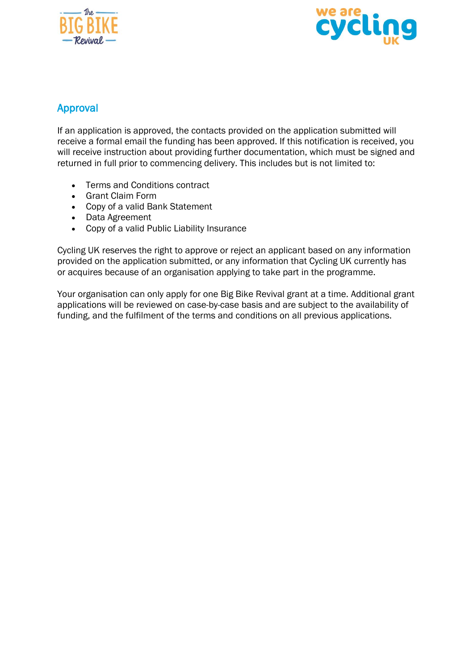



#### Approval

If an application is approved, the contacts provided on the application submitted will receive a formal email the funding has been approved. If this notification is received, you will receive instruction about providing further documentation, which must be signed and returned in full prior to commencing delivery. This includes but is not limited to:

- Terms and Conditions contract
- Grant Claim Form
- Copy of a valid Bank Statement
- Data Agreement
- Copy of a valid Public Liability Insurance

Cycling UK reserves the right to approve or reject an applicant based on any information provided on the application submitted, or any information that Cycling UK currently has or acquires because of an organisation applying to take part in the programme.

Your organisation can only apply for one Big Bike Revival grant at a time. Additional grant applications will be reviewed on case-by-case basis and are subject to the availability of funding, and the fulfilment of the terms and conditions on all previous applications.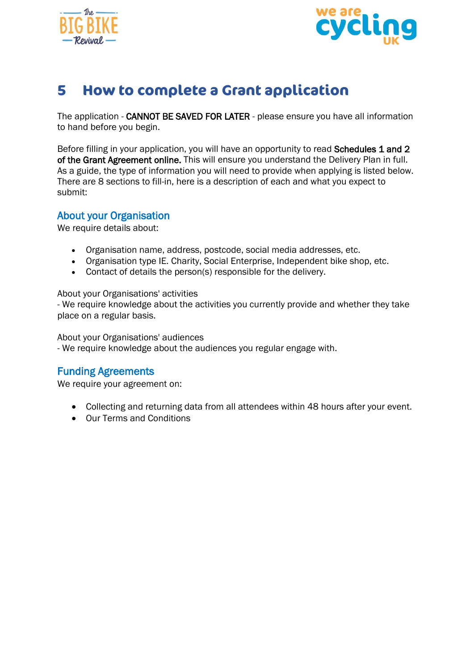



# <span id="page-7-0"></span>**5 How to complete a Grant application**

The application - CANNOT BE SAVED FOR LATER - please ensure you have all information to hand before you begin.

Before filling in your application, you will have an opportunity to read Schedules 1 and 2 of the Grant Agreement online. This will ensure you understand the Delivery Plan in full. As a guide, the type of information you will need to provide when applying is listed below. There are 8 sections to fill-in, here is a description of each and what you expect to submit:

#### <span id="page-7-1"></span>About your Organisation

We require details about:

- Organisation name, address, postcode, social media addresses, etc.
- Organisation type IE. Charity, Social Enterprise, Independent bike shop, etc.
- Contact of details the person(s) responsible for the delivery.

#### About your Organisations' activities

- We require knowledge about the activities you currently provide and whether they take place on a regular basis.

About your Organisations' audiences

- We require knowledge about the audiences you regular engage with.

#### <span id="page-7-2"></span>Funding Agreements

We require your agreement on:

- Collecting and returning data from all attendees within 48 hours after your event.
- Our Terms and Conditions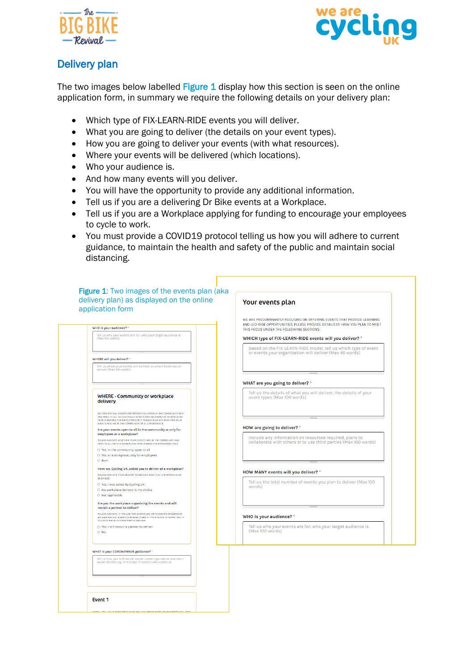



#### Delivery plan

The two images below labelled Figure 1 display how this section is seen on the online application form, in summary we require the following details on your delivery plan:

- Which type of FIX-LEARN-RIDE events you will deliver.
- What you are going to deliver (the details on your event types).
- How you are going to deliver your events (with what resources).
- Where your events will be delivered (which locations).
- Who your audience is.
- And how many events will you deliver.
- You will have the opportunity to provide any additional information.
- Tell us if you are a delivering Dr Bike events at a Workplace.
- Tell us if you are a Workplace applying for funding to encourage your employees to cycle to work.
- You must provide a COVID19 protocol telling us how you will adhere to current guidance, to maintain the health and safety of the public and maintain social distancing.

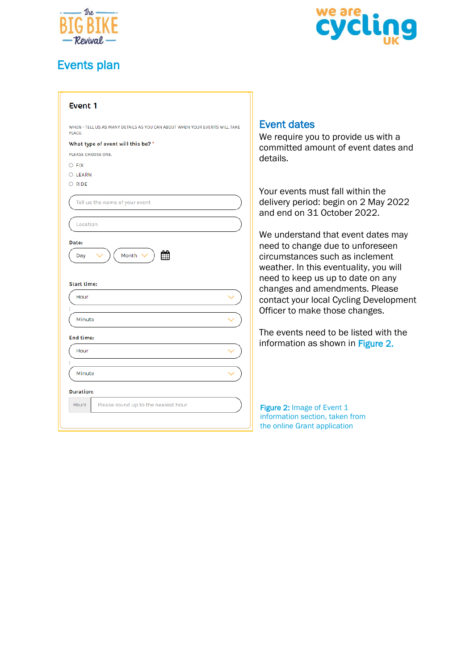

## <span id="page-9-0"></span>Events plan



| Event 1                                                                                                                                                                       |                                           |
|-------------------------------------------------------------------------------------------------------------------------------------------------------------------------------|-------------------------------------------|
| WHEN - TELL US AS MANY DETAILS AS YOU CAN ABOUT WHEN YOUR EVENTS WILL TAKE<br>PLACE.<br>What type of event will this be? *<br>PLEASE CHOOSE ONE.<br>$\bigcirc$ FIX<br>O LEARN | <b>Event</b><br>We red<br>comm<br>details |
| $\bigcirc$ RIDE<br>Tell us the name of your event                                                                                                                             | Your e<br>deliver<br>and er               |
| Location<br>Date:<br>雦<br>Month \<br>Day                                                                                                                                      | We un<br>need t<br>circum<br>weath        |
| <b>Start time:</b><br>Hour                                                                                                                                                    | need t<br>chang<br>contad<br>Officer      |
| Minute<br>End time:                                                                                                                                                           | The ev                                    |
| Hour                                                                                                                                                                          | inform                                    |
| Minute<br><b>Duration:</b>                                                                                                                                                    |                                           |
| <b>Hours</b><br>Please round up to the nearest hour                                                                                                                           | <b>Figure:</b><br>informa<br>the onli     |

#### <span id="page-9-1"></span>t dates

quire you to provide us with a itted amount of event dates and  $\mathsf{s}$ .

vents must fall within the ry period: begin on 2 May 2022 nd on 31 October 2022.

derstand that event dates may to change due to unforeseen nstances such as inclement er. In this eventuality, you will to keep us up to date on any es and amendments. Please ct your local Cycling Development r to make those changes.

vents need to be listed with the ation as shown in Figure 2.

2: Image of Event 1 ation section, taken from ine Grant application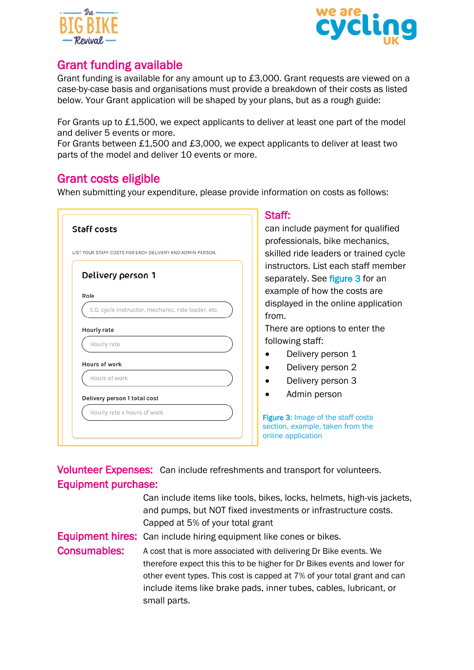



### <span id="page-10-0"></span>Grant funding available

Grant funding is available for any amount up to £3,000. Grant requests are viewed on a case-by-case basis and organisations must provide a breakdown of their costs as listed below. Your Grant application will be shaped by your plans, but as a rough guide:

For Grants up to £1,500, we expect applicants to deliver at least one part of the model and deliver 5 events or more.

For Grants between £1,500 and £3,000, we expect applicants to deliver at least two parts of the model and deliver 10 events or more.

#### <span id="page-10-1"></span>Grant costs eligible

When submitting your expenditure, please provide information on costs as follows:

|                                                           | Staff:                   |
|-----------------------------------------------------------|--------------------------|
| <b>Staff costs</b>                                        | can incl                 |
| LIST YOUR STAFF COSTS FOR EACH DELIVERY AND ADMIN PERSON. | profess<br>skilled r     |
|                                                           |                          |
| Delivery person 1                                         | instruct<br>separat      |
| Role                                                      | example                  |
| E.G. cycle instructor, mechanic, ride leader, etc.        | displaye<br>from.        |
| <b>Hourly rate</b>                                        | There a                  |
| Hourly rate                                               | followin                 |
| <b>Hours of work</b>                                      |                          |
| Hours of work                                             |                          |
| Delivery person 1 total cost                              |                          |
| Hourly rate x hours of work                               | Figure 3: I              |
|                                                           | section, e<br>online app |

lude payment for qualified ionals, bike mechanics, ride leaders or trained cycle ors. List each staff member ely. See figure 3 for an e of how the costs are ed in the online application

re options to enter the g staff:

- elivery person 1
- elivery person 2
- elivery person 3
- lmin person

Image of the staff costs xample, taken from the plication

Volunteer Expenses: Can include refreshments and transport for volunteers. Equipment purchase:

|                     | Can include items like tools, bikes, locks, helmets, high-vis jackets,    |
|---------------------|---------------------------------------------------------------------------|
|                     | and pumps, but NOT fixed investments or infrastructure costs.             |
|                     | Capped at 5% of your total grant                                          |
|                     | <b>Equipment hires:</b> Can include hiring equipment like cones or bikes. |
| <b>Consumables:</b> | A cost that is more associated with delivering Dr Bike events. We         |
|                     | therefore expect this this to be higher for Dr Bikes events and lower for |
|                     | other event types. This cost is capped at 7% of your total grant and can  |
|                     | include items like brake pads, inner tubes, cables, lubricant, or         |
|                     | small parts.                                                              |
|                     |                                                                           |